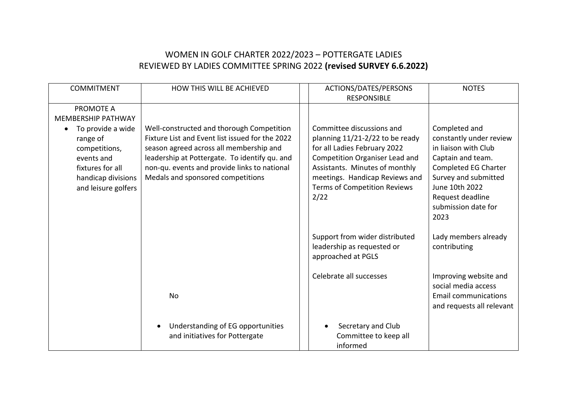## WOMEN IN GOLF CHARTER 2022/2023 – POTTERGATE LADIES REVIEWED BY LADIES COMMITTEE SPRING 2022 **(revised SURVEY 6.6.2022)**

| <b>COMMITMENT</b>                                                                                                             | HOW THIS WILL BE ACHIEVED                                                                                                                                                                                                                                                     | ACTIONS/DATES/PERSONS<br><b>RESPONSIBLE</b>                                                                                                                                                                                                       | <b>NOTES</b>                                                                                                                                                                                               |
|-------------------------------------------------------------------------------------------------------------------------------|-------------------------------------------------------------------------------------------------------------------------------------------------------------------------------------------------------------------------------------------------------------------------------|---------------------------------------------------------------------------------------------------------------------------------------------------------------------------------------------------------------------------------------------------|------------------------------------------------------------------------------------------------------------------------------------------------------------------------------------------------------------|
| PROMOTE A<br><b>MEMBERSHIP PATHWAY</b>                                                                                        |                                                                                                                                                                                                                                                                               |                                                                                                                                                                                                                                                   |                                                                                                                                                                                                            |
| To provide a wide<br>range of<br>competitions,<br>events and<br>fixtures for all<br>handicap divisions<br>and leisure golfers | Well-constructed and thorough Competition<br>Fixture List and Event list issued for the 2022<br>season agreed across all membership and<br>leadership at Pottergate. To identify qu. and<br>non-qu. events and provide links to national<br>Medals and sponsored competitions | Committee discussions and<br>planning 11/21-2/22 to be ready<br>for all Ladies February 2022<br>Competition Organiser Lead and<br>Assistants. Minutes of monthly<br>meetings. Handicap Reviews and<br><b>Terms of Competition Reviews</b><br>2/22 | Completed and<br>constantly under review<br>in liaison with Club<br>Captain and team.<br>Completed EG Charter<br>Survey and submitted<br>June 10th 2022<br>Request deadline<br>submission date for<br>2023 |
|                                                                                                                               |                                                                                                                                                                                                                                                                               | Support from wider distributed<br>leadership as requested or<br>approached at PGLS                                                                                                                                                                | Lady members already<br>contributing                                                                                                                                                                       |
|                                                                                                                               | No                                                                                                                                                                                                                                                                            | Celebrate all successes                                                                                                                                                                                                                           | Improving website and<br>social media access<br><b>Email communications</b><br>and requests all relevant                                                                                                   |
|                                                                                                                               | Understanding of EG opportunities<br>and initiatives for Pottergate                                                                                                                                                                                                           | Secretary and Club<br>Committee to keep all<br>informed                                                                                                                                                                                           |                                                                                                                                                                                                            |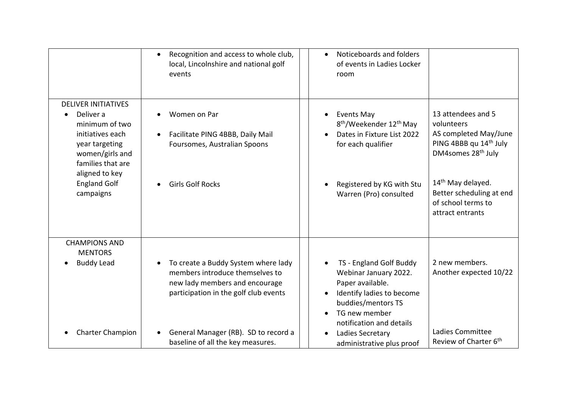|                                                                                                                                         | Recognition and access to whole club,<br>$\bullet$<br>local, Lincolnshire and national golf<br>events                                                          | Noticeboards and folders<br>$\bullet$<br>of events in Ladies Locker<br>room                                                                                          |                                                                                                                                   |
|-----------------------------------------------------------------------------------------------------------------------------------------|----------------------------------------------------------------------------------------------------------------------------------------------------------------|----------------------------------------------------------------------------------------------------------------------------------------------------------------------|-----------------------------------------------------------------------------------------------------------------------------------|
| <b>DELIVER INITIATIVES</b><br>Deliver a<br>minimum of two<br>initiatives each<br>year targeting<br>women/girls and<br>families that are | Women on Par<br>Facilitate PING 4BBB, Daily Mail<br>$\bullet$<br>Foursomes, Australian Spoons                                                                  | <b>Events May</b><br>8 <sup>th</sup> /Weekender 12 <sup>th</sup> May<br>Dates in Fixture List 2022<br>for each qualifier                                             | 13 attendees and 5<br>volunteers<br>AS completed May/June<br>PING 4BBB qu 14 <sup>th</sup> July<br>DM4somes 28 <sup>th</sup> July |
| aligned to key<br><b>England Golf</b><br>campaigns                                                                                      | <b>Girls Golf Rocks</b>                                                                                                                                        | Registered by KG with Stu<br>Warren (Pro) consulted                                                                                                                  | 14 <sup>th</sup> May delayed.<br>Better scheduling at end<br>of school terms to<br>attract entrants                               |
| <b>CHAMPIONS AND</b><br><b>MENTORS</b><br><b>Buddy Lead</b>                                                                             | To create a Buddy System where lady<br>$\bullet$<br>members introduce themselves to<br>new lady members and encourage<br>participation in the golf club events | TS - England Golf Buddy<br>Webinar January 2022.<br>Paper available.<br>Identify ladies to become<br>buddies/mentors TS<br>TG new member<br>notification and details | 2 new members.<br>Another expected 10/22                                                                                          |
| <b>Charter Champion</b>                                                                                                                 | General Manager (RB). SD to record a<br>baseline of all the key measures.                                                                                      | Ladies Secretary<br>administrative plus proof                                                                                                                        | Ladies Committee<br>Review of Charter 6 <sup>th</sup>                                                                             |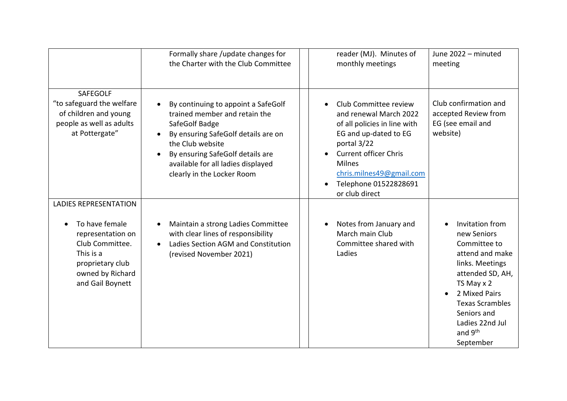|                                                                                                                                                                 | Formally share /update changes for<br>the Charter with the Club Committee                                                                                                                                                                                                           | reader (MJ). Minutes of<br>monthly meetings                                                                                                                                                                                                     | June 2022 - minuted<br>meeting                                                                                                                                                                                                          |
|-----------------------------------------------------------------------------------------------------------------------------------------------------------------|-------------------------------------------------------------------------------------------------------------------------------------------------------------------------------------------------------------------------------------------------------------------------------------|-------------------------------------------------------------------------------------------------------------------------------------------------------------------------------------------------------------------------------------------------|-----------------------------------------------------------------------------------------------------------------------------------------------------------------------------------------------------------------------------------------|
| <b>SAFEGOLF</b><br>"to safeguard the welfare<br>of children and young<br>people as well as adults<br>at Pottergate"                                             | By continuing to appoint a SafeGolf<br>$\bullet$<br>trained member and retain the<br>SafeGolf Badge<br>By ensuring SafeGolf details are on<br>$\bullet$<br>the Club website<br>By ensuring SafeGolf details are<br>available for all ladies displayed<br>clearly in the Locker Room | Club Committee review<br>and renewal March 2022<br>of all policies in line with<br>EG and up-dated to EG<br>portal 3/22<br><b>Current officer Chris</b><br><b>Milnes</b><br>chris.milnes49@gmail.com<br>Telephone 01522828691<br>or club direct | Club confirmation and<br>accepted Review from<br>EG (see email and<br>website)                                                                                                                                                          |
| <b>LADIES REPRESENTATION</b><br>To have female<br>representation on<br>Club Committee.<br>This is a<br>proprietary club<br>owned by Richard<br>and Gail Boynett | Maintain a strong Ladies Committee<br>$\bullet$<br>with clear lines of responsibility<br>Ladies Section AGM and Constitution<br>(revised November 2021)                                                                                                                             | Notes from January and<br>March main Club<br>Committee shared with<br>Ladies                                                                                                                                                                    | Invitation from<br>new Seniors<br>Committee to<br>attend and make<br>links. Meetings<br>attended SD, AH,<br>TS May x 2<br>2 Mixed Pairs<br><b>Texas Scrambles</b><br>Seniors and<br>Ladies 22nd Jul<br>and 9 <sup>th</sup><br>September |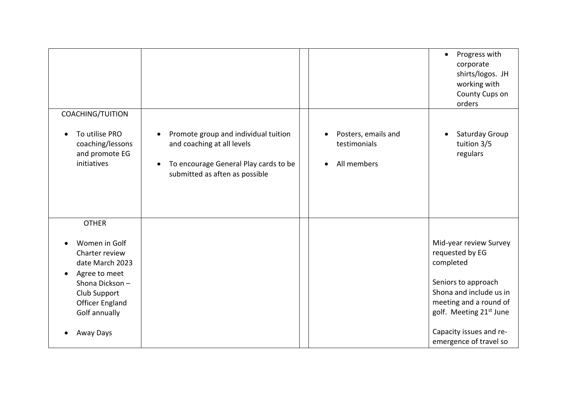|                                                                                       |                                                                                                                                                            |                                                    | Progress with<br>$\bullet$<br>corporate<br>shirts/logos. JH<br>working with<br>County Cups on<br>orders |
|---------------------------------------------------------------------------------------|------------------------------------------------------------------------------------------------------------------------------------------------------------|----------------------------------------------------|---------------------------------------------------------------------------------------------------------|
| COACHING/TUITION                                                                      |                                                                                                                                                            |                                                    |                                                                                                         |
| To utilise PRO<br>coaching/lessons<br>and promote EG<br>initiatives                   | Promote group and individual tuition<br>and coaching at all levels<br>To encourage General Play cards to be<br>$\bullet$<br>submitted as aften as possible | Posters, emails and<br>testimonials<br>All members | Saturday Group<br>$\bullet$<br>tuition 3/5<br>regulars                                                  |
| <b>OTHER</b>                                                                          |                                                                                                                                                            |                                                    |                                                                                                         |
| Women in Golf<br>Charter review<br>date March 2023<br>Agree to meet<br>Shona Dickson- |                                                                                                                                                            |                                                    | Mid-year review Survey<br>requested by EG<br>completed<br>Seniors to approach                           |
| Club Support<br><b>Officer England</b><br>Golf annually                               |                                                                                                                                                            |                                                    | Shona and include us in<br>meeting and a round of<br>golf. Meeting 21st June                            |
| Away Days                                                                             |                                                                                                                                                            |                                                    | Capacity issues and re-<br>emergence of travel so                                                       |